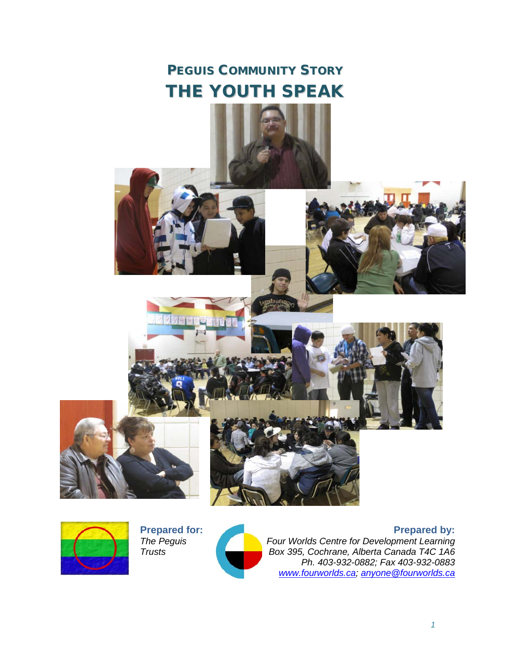# PEGUIS COMMUNITY STORY THE YOUTH SPEAK





**Prepared for:** *The Peguis Trusts*



**Prepared by:**

*Four Worlds Centre for Development Learning Box 395, Cochrane, Alberta Canada T4C 1A6 Ph. 403-932-0882; Fax 403-932-0883 [www.fourworlds.ca;](http://www.fourworlds.ca/) [anyone@fourworlds.ca](mailto:anyone@fourworlds.ca)*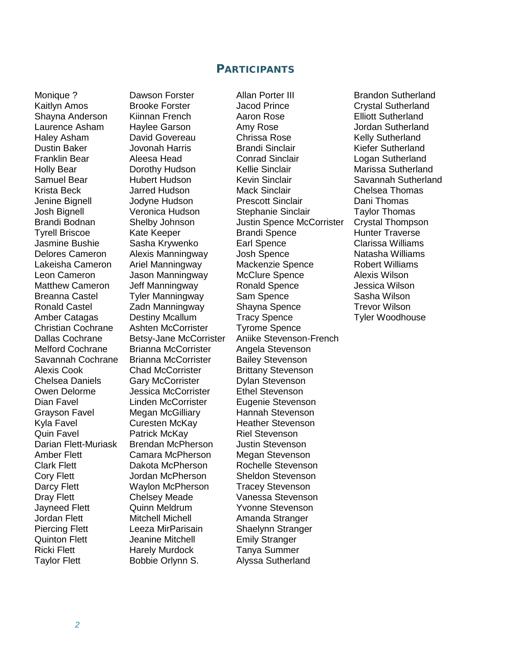# PARTICIPANTS

Jasmine Bushie Sasha Krywenko Earl Spence Breanna Castel Tyler Manningway Christian Cochrane Ashten McCorrister Tyrome Spence Savannah Cochrane Brianna McCorrister Bailey Stevenson<br>Alexis Cook Chad McCorrister Brittany Stevensor Alexis Cook Chad McCorrister Brittany Stevenson Chelsea Daniels Gary McCorrister Dylan Stevenson<br>
Owen Delorme Buessica McCorrister Ethel Stevenson Dian Favel Linden McCorrister Eugenie Stevenson Grayson Favel Megan McGilliary Hannah Stevenson Kyla Favel **Curesten McKay** Heather Stevenson Quin Favel **Patrick McKay** Riel Stevenson Darian Flett-Muriask Brendan McPherson Justin Stevenson Amber Flett Camara McPherson Megan Stevenson Clark Flett Dakota McPherson Rochelle Stevenson Cory Flett **Cory Flett** Jordan McPherson Sheldon Stevenson<br>Darcy Flett State Waylon McPherson Tracey Stevenson Darcy Flett Waylon McPherson Dray Flett **Chelsey Meade** Vanessa Stevenson Jayneed Flett Quinn Meldrum Yvonne Stevenson Jordan Flett Mitchell Michell Amanda Stranger Piercing Flett Leeza MirParisain Shaelynn Stranger Quinton Flett Jeanine Mitchell Emily Stranger Ricki Flett **Harely Murdock** Tanya Summer

Brianna McCorrister Angela Stevenson Jessica McCorrister Taylor Flett **Bobbie Orlynn S.** Alyssa Sutherland

Monique ? Dawson Forster Allan Porter III Brandon Sutherland Jacod Prince **Crystal Sutherland**<br>Aaron Rose **Formula** Elliott Sutherland Shayna Anderson Kiinnan French Aaron Rose Elliott Sutherland Laurence Asham Haylee Garson Amy Rose Jordan Sutherland Haley Asham David Govereau Chrissa Rose Kelly Sutherland Dustin Baker **Information** Jovonah Harris Brandi Sinclair **Kiefer Sutherland** Franklin Bear Aleesa Head Conrad Sinclair Logan Sutherland Holly Bear Dorothy Hudson Kellie Sinclair Marissa Sutherland<br>
Samuel Bear Hubert Hudson Kevin Sinclair Savannah Suther Samuel Bear **Hubert Hudson** Kevin Sinclair Savannah Sutherland Krista Beck Jarred Hudson Mack Sinclair Chelsea Thomas Jenine Bignell Jodyne Hudson Prescott Sinclair Dani Thomas Josh Bignell Veronica Hudson Stephanie Sinclair Taylor Thomas Brandi Bodnan Shelby Johnson Justin Spence McCorrister Crystal Thompson Tyrell Briscoe Kate Keeper Brandi Spence Hunter Traverse Delores Cameron Alexis Manningway Josh Spence Natasha Williams Lakeisha Cameron Ariel Manningway Mackenzie Spence Robert Williams Leon Cameron Jason Manningway McClure Spence Alexis Wilson <br>Matthew Cameron Jeff Manningway Ronald Spence Jessica Wilson Matthew Cameron Jeff Manningway Ronald Spence<br>
Breanna Castel Tyler Manningway Sam Spence Sasha Wilson Ronald Castel **Zadn Manningway** Shayna Spence **Trevor Wilson** Amber Catagas Destiny Mcallum Tracy Spence Tyler Woodhouse Dallas Cochrane Betsy-Jane McCorrister Aniike Stevenson-French<br>
Melford Cochrane Brianna McCorrister Angela Stevenson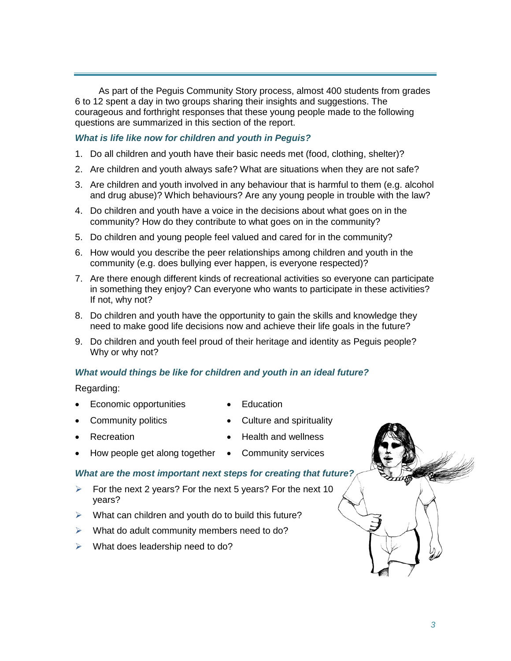As part of the Peguis Community Story process, almost 400 students from grades 6 to 12 spent a day in two groups sharing their insights and suggestions. The courageous and forthright responses that these young people made to the following questions are summarized in this section of the report.

## *What is life like now for children and youth in Peguis?*

- 1. Do all children and youth have their basic needs met (food, clothing, shelter)?
- 2. Are children and youth always safe? What are situations when they are not safe?
- 3. Are children and youth involved in any behaviour that is harmful to them (e.g. alcohol and drug abuse)? Which behaviours? Are any young people in trouble with the law?
- 4. Do children and youth have a voice in the decisions about what goes on in the community? How do they contribute to what goes on in the community?
- 5. Do children and young people feel valued and cared for in the community?
- 6. How would you describe the peer relationships among children and youth in the community (e.g. does bullying ever happen, is everyone respected)?
- 7. Are there enough different kinds of recreational activities so everyone can participate in something they enjoy? Can everyone who wants to participate in these activities? If not, why not?
- 8. Do children and youth have the opportunity to gain the skills and knowledge they need to make good life decisions now and achieve their life goals in the future?
- 9. Do children and youth feel proud of their heritage and identity as Peguis people? Why or why not?

#### *What would things be like for children and youth in an ideal future?*

Regarding:

- Economic opportunities Education
	-
- 
- 
- Community politics Culture and spirituality
- - **Recreation Health and wellness**
- How people get along together Community services
- 

# *What are the most important next steps for creating that future?*

- $\triangleright$  For the next 2 years? For the next 5 years? For the next 10 years?
- $\triangleright$  What can children and youth do to build this future?
- $\triangleright$  What do adult community members need to do?
- $\triangleright$  What does leadership need to do?

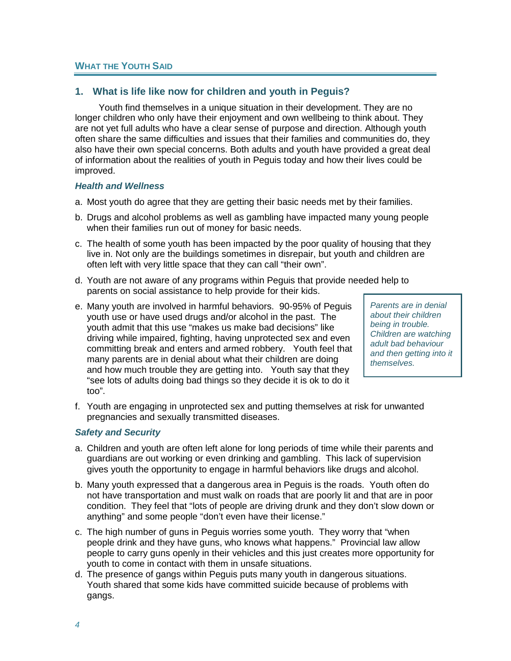# **WHAT THE YOUTH SAID**

# **1. What is life like now for children and youth in Peguis?**

Youth find themselves in a unique situation in their development. They are no longer children who only have their enjoyment and own wellbeing to think about. They are not yet full adults who have a clear sense of purpose and direction. Although youth often share the same difficulties and issues that their families and communities do, they also have their own special concerns. Both adults and youth have provided a great deal of information about the realities of youth in Peguis today and how their lives could be improved.

#### *Health and Wellness*

- a. Most youth do agree that they are getting their basic needs met by their families.
- b. Drugs and alcohol problems as well as gambling have impacted many young people when their families run out of money for basic needs.
- c. The health of some youth has been impacted by the poor quality of housing that they live in. Not only are the buildings sometimes in disrepair, but youth and children are often left with very little space that they can call "their own".
- d. Youth are not aware of any programs within Peguis that provide needed help to parents on social assistance to help provide for their kids.
- e. Many youth are involved in harmful behaviors. 90-95% of Peguis youth use or have used drugs and/or alcohol in the past. The youth admit that this use "makes us make bad decisions" like driving while impaired, fighting, having unprotected sex and even committing break and enters and armed robbery. Youth feel that many parents are in denial about what their children are doing and how much trouble they are getting into. Youth say that they "see lots of adults doing bad things so they decide it is ok to do it too".

*Parents are in denial about their children being in trouble. Children are watching adult bad behaviour and then getting into it themselves.*

f. Youth are engaging in unprotected sex and putting themselves at risk for unwanted pregnancies and sexually transmitted diseases.

# *Safety and Security*

- a. Children and youth are often left alone for long periods of time while their parents and guardians are out working or even drinking and gambling. This lack of supervision gives youth the opportunity to engage in harmful behaviors like drugs and alcohol.
- b. Many youth expressed that a dangerous area in Peguis is the roads. Youth often do not have transportation and must walk on roads that are poorly lit and that are in poor condition. They feel that "lots of people are driving drunk and they don't slow down or anything" and some people "don't even have their license."
- c. The high number of guns in Peguis worries some youth. They worry that "when people drink and they have guns, who knows what happens." Provincial law allow people to carry guns openly in their vehicles and this just creates more opportunity for youth to come in contact with them in unsafe situations.
- d. The presence of gangs within Peguis puts many youth in dangerous situations. Youth shared that some kids have committed suicide because of problems with gangs.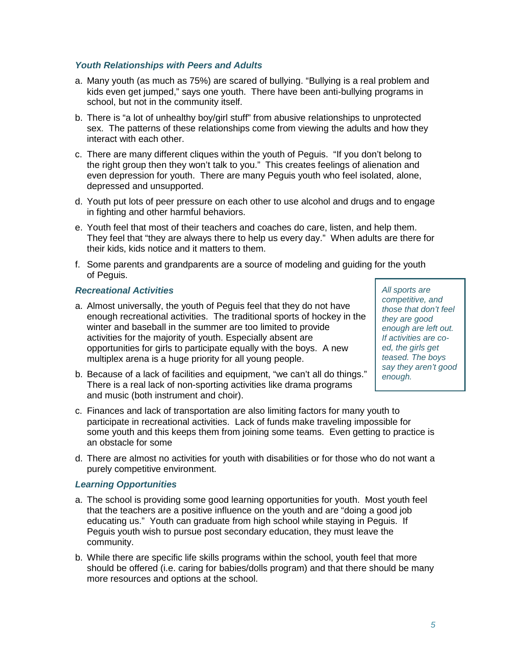## *Youth Relationships with Peers and Adults*

- a. Many youth (as much as 75%) are scared of bullying. "Bullying is a real problem and kids even get jumped," says one youth. There have been anti-bullying programs in school, but not in the community itself.
- b. There is "a lot of unhealthy boy/girl stuff" from abusive relationships to unprotected sex. The patterns of these relationships come from viewing the adults and how they interact with each other.
- c. There are many different cliques within the youth of Peguis. "If you don't belong to the right group then they won't talk to you." This creates feelings of alienation and even depression for youth. There are many Peguis youth who feel isolated, alone, depressed and unsupported.
- d. Youth put lots of peer pressure on each other to use alcohol and drugs and to engage in fighting and other harmful behaviors.
- e. Youth feel that most of their teachers and coaches do care, listen, and help them. They feel that "they are always there to help us every day." When adults are there for their kids, kids notice and it matters to them.
- f. Some parents and grandparents are a source of modeling and guiding for the youth of Peguis.

# *Recreational Activities*

- a. Almost universally, the youth of Peguis feel that they do not have enough recreational activities. The traditional sports of hockey in the winter and baseball in the summer are too limited to provide activities for the majority of youth. Especially absent are opportunities for girls to participate equally with the boys. A new multiplex arena is a huge priority for all young people.
- b. Because of a lack of facilities and equipment, "we can't all do things." There is a real lack of non-sporting activities like drama programs and music (both instrument and choir).
- c. Finances and lack of transportation are also limiting factors for many youth to participate in recreational activities. Lack of funds make traveling impossible for some youth and this keeps them from joining some teams. Even getting to practice is an obstacle for some
- d. There are almost no activities for youth with disabilities or for those who do not want a purely competitive environment.

# *Learning Opportunities*

- a. The school is providing some good learning opportunities for youth. Most youth feel that the teachers are a positive influence on the youth and are "doing a good job educating us." Youth can graduate from high school while staying in Peguis. If Peguis youth wish to pursue post secondary education, they must leave the community.
- b. While there are specific life skills programs within the school, youth feel that more should be offered (i.e. caring for babies/dolls program) and that there should be many more resources and options at the school.

*All sports are competitive, and those that don't feel they are good enough are left out. If activities are coed, the girls get teased. The boys say they aren't good enough.*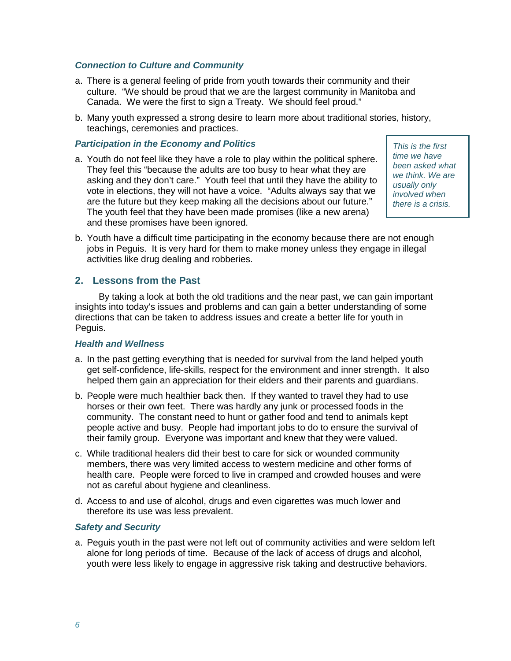#### *Connection to Culture and Community*

- a. There is a general feeling of pride from youth towards their community and their culture. "We should be proud that we are the largest community in Manitoba and Canada. We were the first to sign a Treaty. We should feel proud."
- b. Many youth expressed a strong desire to learn more about traditional stories, history, teachings, ceremonies and practices.

#### *Participation in the Economy and Politics*

a. Youth do not feel like they have a role to play within the political sphere. They feel this "because the adults are too busy to hear what they are asking and they don't care." Youth feel that until they have the ability to vote in elections, they will not have a voice. "Adults always say that we are the future but they keep making all the decisions about our future." The youth feel that they have been made promises (like a new arena) and these promises have been ignored.

*This is the first time we have been asked what we think. We are usually only involved when there is a crisis.*

b. Youth have a difficult time participating in the economy because there are not enough jobs in Peguis. It is very hard for them to make money unless they engage in illegal activities like drug dealing and robberies.

### **2. Lessons from the Past**

By taking a look at both the old traditions and the near past, we can gain important insights into today's issues and problems and can gain a better understanding of some directions that can be taken to address issues and create a better life for youth in Peguis.

#### *Health and Wellness*

- a. In the past getting everything that is needed for survival from the land helped youth get self-confidence, life-skills, respect for the environment and inner strength. It also helped them gain an appreciation for their elders and their parents and guardians.
- b. People were much healthier back then. If they wanted to travel they had to use horses or their own feet. There was hardly any junk or processed foods in the community. The constant need to hunt or gather food and tend to animals kept people active and busy. People had important jobs to do to ensure the survival of their family group. Everyone was important and knew that they were valued.
- c. While traditional healers did their best to care for sick or wounded community members, there was very limited access to western medicine and other forms of health care. People were forced to live in cramped and crowded houses and were not as careful about hygiene and cleanliness.
- d. Access to and use of alcohol, drugs and even cigarettes was much lower and therefore its use was less prevalent.

#### *Safety and Security*

a. Peguis youth in the past were not left out of community activities and were seldom left alone for long periods of time. Because of the lack of access of drugs and alcohol, youth were less likely to engage in aggressive risk taking and destructive behaviors.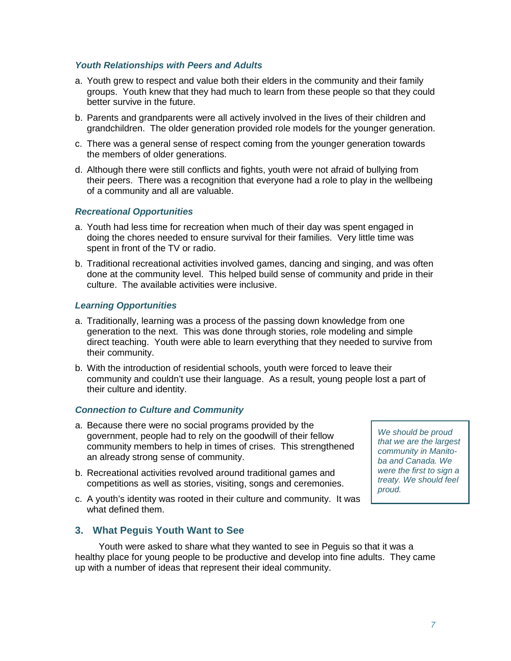#### *Youth Relationships with Peers and Adults*

- a. Youth grew to respect and value both their elders in the community and their family groups. Youth knew that they had much to learn from these people so that they could better survive in the future.
- b. Parents and grandparents were all actively involved in the lives of their children and grandchildren. The older generation provided role models for the younger generation.
- c. There was a general sense of respect coming from the younger generation towards the members of older generations.
- d. Although there were still conflicts and fights, youth were not afraid of bullying from their peers. There was a recognition that everyone had a role to play in the wellbeing of a community and all are valuable.

## *Recreational Opportunities*

- a. Youth had less time for recreation when much of their day was spent engaged in doing the chores needed to ensure survival for their families. Very little time was spent in front of the TV or radio.
- b. Traditional recreational activities involved games, dancing and singing, and was often done at the community level. This helped build sense of community and pride in their culture. The available activities were inclusive.

## *Learning Opportunities*

- a. Traditionally, learning was a process of the passing down knowledge from one generation to the next. This was done through stories, role modeling and simple direct teaching. Youth were able to learn everything that they needed to survive from their community.
- b. With the introduction of residential schools, youth were forced to leave their community and couldn't use their language. As a result, young people lost a part of their culture and identity.

#### *Connection to Culture and Community*

- a. Because there were no social programs provided by the government, people had to rely on the goodwill of their fellow community members to help in times of crises. This strengthened an already strong sense of community.
- b. Recreational activities revolved around traditional games and competitions as well as stories, visiting, songs and ceremonies.
- c. A youth's identity was rooted in their culture and community. It was what defined them.

*We should be proud that we are the largest community in Manitoba and Canada. We were the first to sign a treaty. We should feel proud.*

# **3. What Peguis Youth Want to See**

Youth were asked to share what they wanted to see in Peguis so that it was a healthy place for young people to be productive and develop into fine adults. They came up with a number of ideas that represent their ideal community.